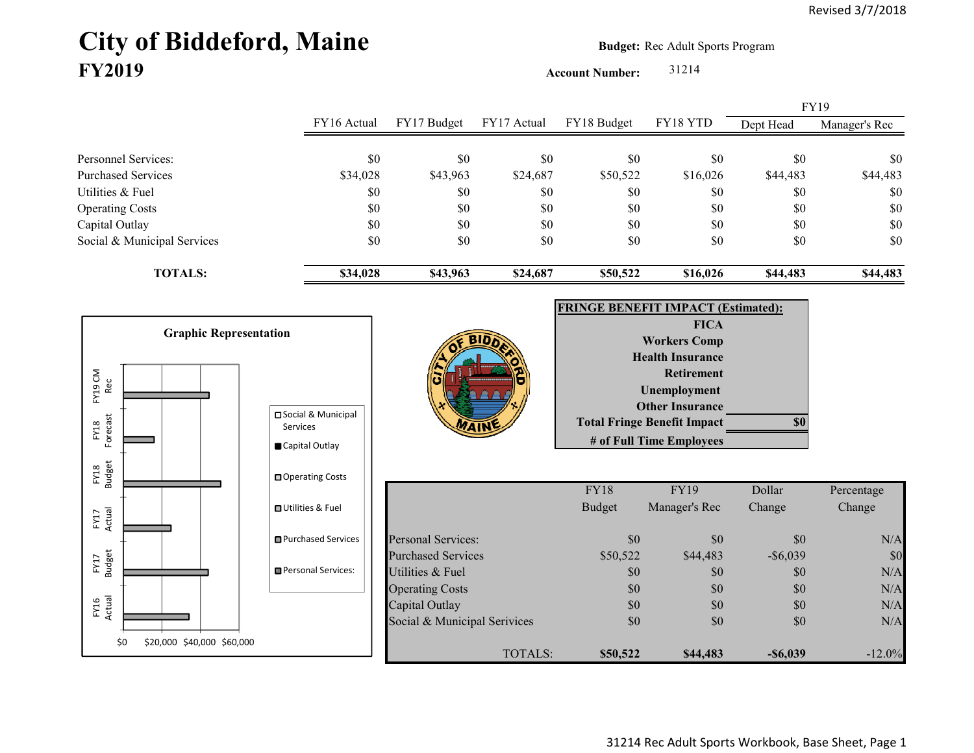## City of Biddeford, Maine **Budget:** Rec Adult Sports Program **FY2019**

**Account Number:** 31214

FY16 Actual FY17 Budget FY17 Actual FY18 Budget FY18 YTD Dept Head Manager's Rec Personnel Services: \$0 \$0 \$0 \$0 \$0 \$0 \$0 Purchased Services 634,028 \$34,028 \$24,687 \$24,687 \$50,522 \$16,026 \$44,483 \$44,483 Utilities & Fuel \$0 \$0 \$0 \$0 \$0 \$0 \$0 Operating Costs \$0 \$0 \$0 \$0 \$0 \$0 Capital Outlay \$0 \$0 \$0 \$0 \$0 \$0 Social & Municipal Services \$0 \$0 \$0 \$0 \$0 \$0 \$0 **TOTALS: \$34,028 \$43,963 \$24,687 \$50,522 \$16,026 \$44,483 \$44,483** FY19

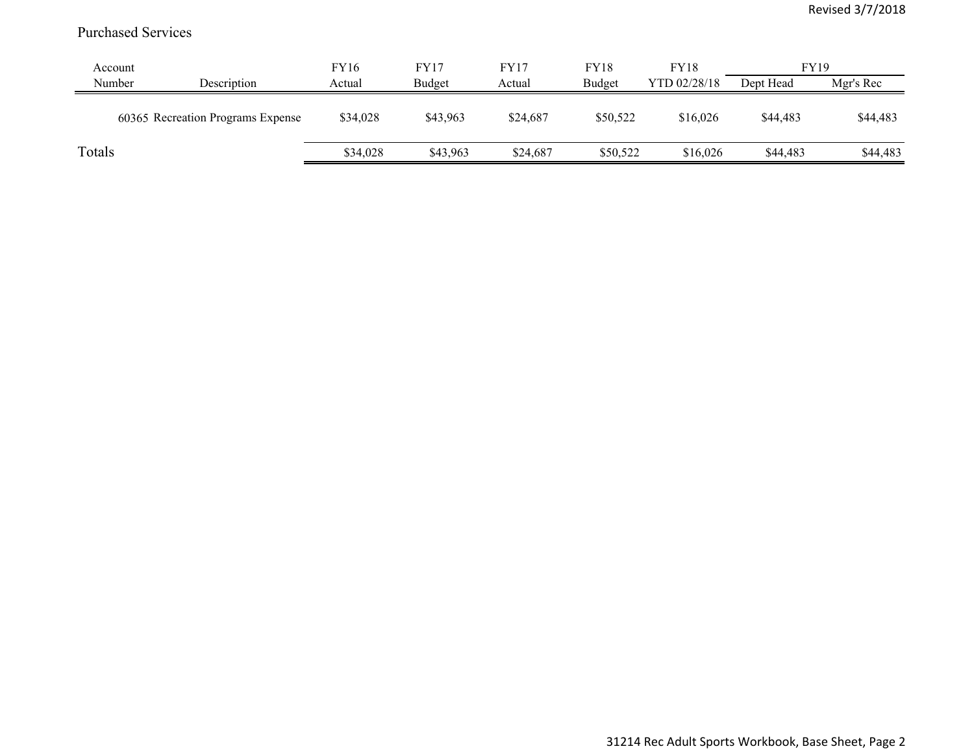## Purchased Services

| Account |                                   | FY16     | FY17     | FY17     | <b>FY18</b> | <b>FY18</b>  | <b>FY19</b> |           |
|---------|-----------------------------------|----------|----------|----------|-------------|--------------|-------------|-----------|
| Number  | Description                       | Actual   | Budget   | Actual   | Budget      | YTD 02/28/18 | Dept Head   | Mgr's Rec |
|         | 60365 Recreation Programs Expense | \$34,028 | \$43,963 | \$24,687 | \$50,522    | \$16,026     | \$44,483    | \$44,483  |
| Totals  |                                   | \$34,028 | \$43,963 | \$24,687 | \$50,522    | \$16,026     | \$44,483    | \$44,483  |